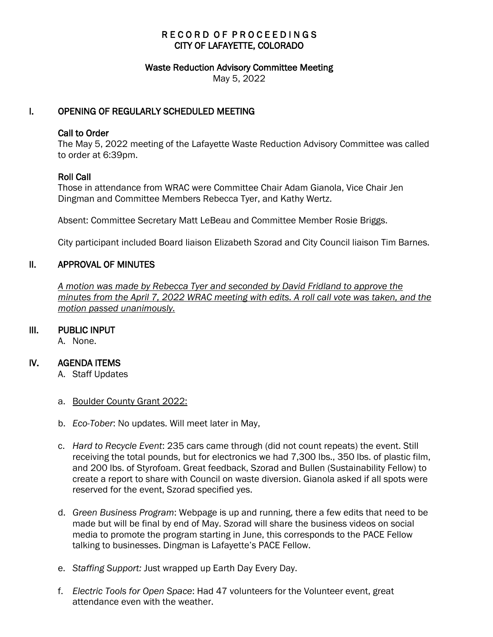### RECORD OF PROCEEDINGS CITY OF LAFAYETTE, COLORADO

#### Waste Reduction Advisory Committee Meeting

May 5, 2022

#### I. OPENING OF REGULARLY SCHEDULED MEETING

#### Call to Order

The May 5, 2022 meeting of the Lafayette Waste Reduction Advisory Committee was called to order at 6:39pm.

#### Roll Call

Those in attendance from WRAC were Committee Chair Adam Gianola, Vice Chair Jen Dingman and Committee Members Rebecca Tyer, and Kathy Wertz.

Absent: Committee Secretary Matt LeBeau and Committee Member Rosie Briggs.

City participant included Board liaison Elizabeth Szorad and City Council liaison Tim Barnes.

### II. APPROVAL OF MINUTES

 *A motion was made by Rebecca Tyer and seconded by David Fridland to approve the minutes from the April 7, 2022 WRAC meeting with edits. A roll call vote was taken, and the motion passed unanimously.*

### III. PUBLIC INPUT

A. None.

### IV. AGENDA ITEMS

- A. Staff Updates
- a. Boulder County Grant 2022:
- b. *Eco-Tober*: No updates. Will meet later in May,
- c. *Hard to Recycle Event*: 235 cars came through (did not count repeats) the event. Still receiving the total pounds, but for electronics we had 7,300 lbs., 350 lbs. of plastic film, and 200 lbs. of Styrofoam. Great feedback, Szorad and Bullen (Sustainability Fellow) to create a report to share with Council on waste diversion. Gianola asked if all spots were reserved for the event, Szorad specified yes.
- d. *Green Business Program*: Webpage is up and running, there a few edits that need to be made but will be final by end of May. Szorad will share the business videos on social media to promote the program starting in June, this corresponds to the PACE Fellow talking to businesses. Dingman is Lafayette's PACE Fellow.
- e. *Staffing Support:* Just wrapped up Earth Day Every Day.
- f. *Electric Tools for Open Space*: Had 47 volunteers for the Volunteer event, great attendance even with the weather.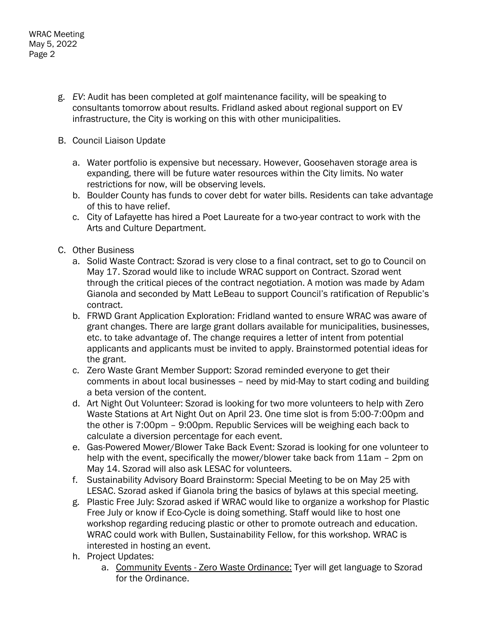- g. *EV*: Audit has been completed at golf maintenance facility, will be speaking to consultants tomorrow about results. Fridland asked about regional support on EV infrastructure, the City is working on this with other municipalities.
- B. Council Liaison Update
	- a. Water portfolio is expensive but necessary. However, Goosehaven storage area is expanding, there will be future water resources within the City limits. No water restrictions for now, will be observing levels.
	- b. Boulder County has funds to cover debt for water bills. Residents can take advantage of this to have relief.
	- c. City of Lafayette has hired a Poet Laureate for a two-year contract to work with the Arts and Culture Department.
- C. Other Business
	- a. Solid Waste Contract: Szorad is very close to a final contract, set to go to Council on May 17. Szorad would like to include WRAC support on Contract. Szorad went through the critical pieces of the contract negotiation. A motion was made by Adam Gianola and seconded by Matt LeBeau to support Council's ratification of Republic's contract.
	- b. FRWD Grant Application Exploration: Fridland wanted to ensure WRAC was aware of grant changes. There are large grant dollars available for municipalities, businesses, etc. to take advantage of. The change requires a letter of intent from potential applicants and applicants must be invited to apply. Brainstormed potential ideas for the grant.
	- c. Zero Waste Grant Member Support: Szorad reminded everyone to get their comments in about local businesses – need by mid-May to start coding and building a beta version of the content.
	- d. Art Night Out Volunteer: Szorad is looking for two more volunteers to help with Zero Waste Stations at Art Night Out on April 23. One time slot is from 5:00-7:00pm and the other is 7:00pm – 9:00pm. Republic Services will be weighing each back to calculate a diversion percentage for each event.
	- e. Gas-Powered Mower/Blower Take Back Event: Szorad is looking for one volunteer to help with the event, specifically the mower/blower take back from 11am – 2pm on May 14. Szorad will also ask LESAC for volunteers.
	- f. Sustainability Advisory Board Brainstorm: Special Meeting to be on May 25 with LESAC. Szorad asked if Gianola bring the basics of bylaws at this special meeting.
	- g. Plastic Free July: Szorad asked if WRAC would like to organize a workshop for Plastic Free July or know if Eco-Cycle is doing something. Staff would like to host one workshop regarding reducing plastic or other to promote outreach and education. WRAC could work with Bullen, Sustainability Fellow, for this workshop. WRAC is interested in hosting an event.
	- h. Project Updates:
		- a. Community Events Zero Waste Ordinance: Tyer will get language to Szorad for the Ordinance.